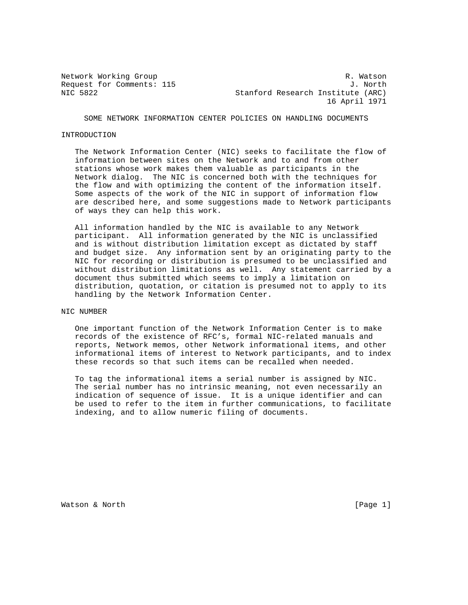Network Working Group **R. Watson** R. Watson Request for Comments: 115 J. North NIC 5822 Stanford Research Institute (ARC) 16 April 1971

SOME NETWORK INFORMATION CENTER POLICIES ON HANDLING DOCUMENTS

#### INTRODUCTION

 The Network Information Center (NIC) seeks to facilitate the flow of information between sites on the Network and to and from other stations whose work makes them valuable as participants in the Network dialog. The NIC is concerned both with the techniques for the flow and with optimizing the content of the information itself. Some aspects of the work of the NIC in support of information flow are described here, and some suggestions made to Network participants of ways they can help this work.

 All information handled by the NIC is available to any Network participant. All information generated by the NIC is unclassified and is without distribution limitation except as dictated by staff and budget size. Any information sent by an originating party to the NIC for recording or distribution is presumed to be unclassified and without distribution limitations as well. Any statement carried by a document thus submitted which seems to imply a limitation on distribution, quotation, or citation is presumed not to apply to its handling by the Network Information Center.

### NIC NUMBER

 One important function of the Network Information Center is to make records of the existence of RFC's, formal NIC-related manuals and reports, Network memos, other Network informational items, and other informational items of interest to Network participants, and to index these records so that such items can be recalled when needed.

 To tag the informational items a serial number is assigned by NIC. The serial number has no intrinsic meaning, not even necessarily an indication of sequence of issue. It is a unique identifier and can be used to refer to the item in further communications, to facilitate indexing, and to allow numeric filing of documents.

Watson & North [Page 1]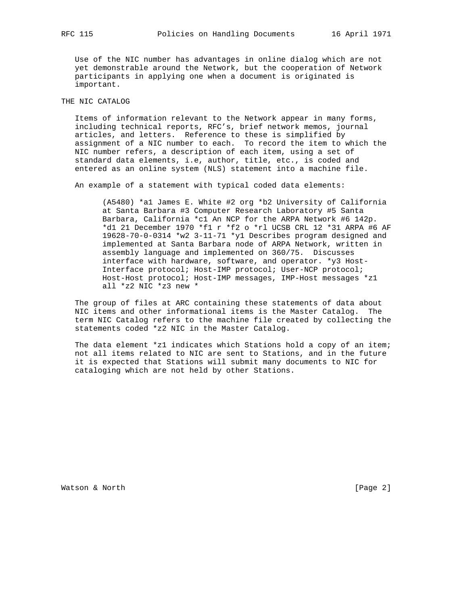Use of the NIC number has advantages in online dialog which are not yet demonstrable around the Network, but the cooperation of Network participants in applying one when a document is originated is important.

# THE NIC CATALOG

 Items of information relevant to the Network appear in many forms, including technical reports, RFC's, brief network memos, journal articles, and letters. Reference to these is simplified by assignment of a NIC number to each. To record the item to which the NIC number refers, a description of each item, using a set of standard data elements, i.e, author, title, etc., is coded and entered as an online system (NLS) statement into a machine file.

An example of a statement with typical coded data elements:

 (A5480) \*a1 James E. White #2 org \*b2 University of California at Santa Barbara #3 Computer Research Laboratory #5 Santa Barbara, California \*c1 An NCP for the ARPA Network #6 142p. \*d1 21 December 1970 \*f1 r \*f2 o \*rl UCSB CRL 12 \*31 ARPA #6 AF 19628-70-0-0314 \*w2 3-11-71 \*y1 Describes program designed and implemented at Santa Barbara node of ARPA Network, written in assembly language and implemented on 360/75. Discusses interface with hardware, software, and operator. \*y3 Host- Interface protocol; Host-IMP protocol; User-NCP protocol; Host-Host protocol; Host-IMP messages, IMP-Host messages \*z1 all \*z2 NIC \*z3 new \*

 The group of files at ARC containing these statements of data about NIC items and other informational items is the Master Catalog. The term NIC Catalog refers to the machine file created by collecting the statements coded \*z2 NIC in the Master Catalog.

 The data element \*z1 indicates which Stations hold a copy of an item; not all items related to NIC are sent to Stations, and in the future it is expected that Stations will submit many documents to NIC for cataloging which are not held by other Stations.

Watson & North [Page 2]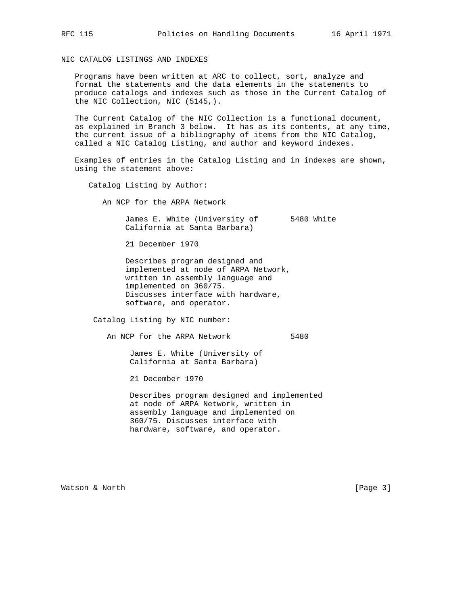NIC CATALOG LISTINGS AND INDEXES

 Programs have been written at ARC to collect, sort, analyze and format the statements and the data elements in the statements to produce catalogs and indexes such as those in the Current Catalog of the NIC Collection, NIC (5145,).

 The Current Catalog of the NIC Collection is a functional document, as explained in Branch 3 below. It has as its contents, at any time, the current issue of a bibliography of items from the NIC Catalog, called a NIC Catalog Listing, and author and keyword indexes.

 Examples of entries in the Catalog Listing and in indexes are shown, using the statement above:

Catalog Listing by Author:

An NCP for the ARPA Network

 James E. White (University of 5480 White California at Santa Barbara)

21 December 1970

 Describes program designed and implemented at node of ARPA Network, written in assembly language and implemented on 360/75. Discusses interface with hardware, software, and operator.

Catalog Listing by NIC number:

An NCP for the ARPA Network 5480

 James E. White (University of California at Santa Barbara)

21 December 1970

 Describes program designed and implemented at node of ARPA Network, written in assembly language and implemented on 360/75. Discusses interface with hardware, software, and operator.

Watson & North [Page 3]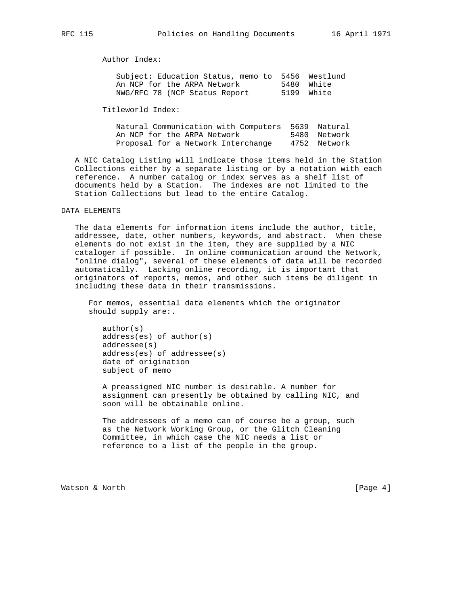Author Index:

| Subject: Education Status, memo to 5456 Westlund |            |
|--------------------------------------------------|------------|
| An NCP for the ARPA Network                      | 5480 White |
| NWG/RFC 78 (NCP Status Report                    | 5199 White |

Titleworld Index:

 Natural Communication with Computers 5639 Natural An NCP for the ARPA Network 5480 Network Proposal for a Network Interchange 4752 Network

 A NIC Catalog Listing will indicate those items held in the Station Collections either by a separate listing or by a notation with each reference. A number catalog or index serves as a shelf list of documents held by a Station. The indexes are not limited to the Station Collections but lead to the entire Catalog.

### DATA ELEMENTS

 The data elements for information items include the author, title, addressee, date, other numbers, keywords, and abstract. When these elements do not exist in the item, they are supplied by a NIC cataloger if possible. In online communication around the Network, "online dialog", several of these elements of data will be recorded automatically. Lacking online recording, it is important that originators of reports, memos, and other such items be diligent in including these data in their transmissions.

 For memos, essential data elements which the originator should supply are:.

 author(s) address(es) of author(s) addressee(s) address(es) of addressee(s) date of origination subject of memo

 A preassigned NIC number is desirable. A number for assignment can presently be obtained by calling NIC, and soon will be obtainable online.

 The addressees of a memo can of course be a group, such as the Network Working Group, or the Glitch Cleaning Committee, in which case the NIC needs a list or reference to a list of the people in the group.

Watson & North [Page 4]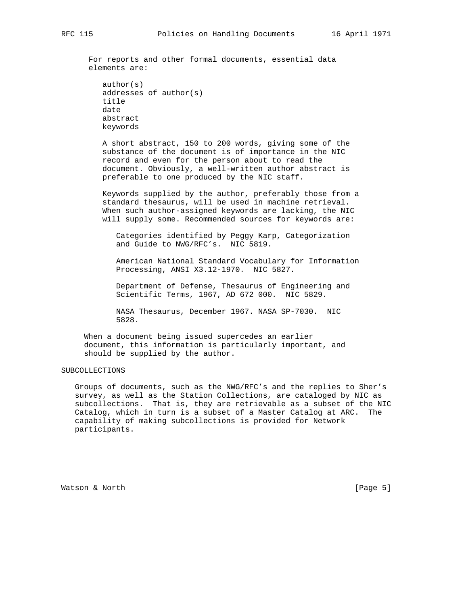For reports and other formal documents, essential data elements are:

```
 author(s)
 addresses of author(s)
 title
 date
 abstract
 keywords
```
 A short abstract, 150 to 200 words, giving some of the substance of the document is of importance in the NIC record and even for the person about to read the document. Obviously, a well-written author abstract is preferable to one produced by the NIC staff.

 Keywords supplied by the author, preferably those from a standard thesaurus, will be used in machine retrieval. When such author-assigned keywords are lacking, the NIC will supply some. Recommended sources for keywords are:

 Categories identified by Peggy Karp, Categorization and Guide to NWG/RFC's. NIC 5819.

 American National Standard Vocabulary for Information Processing, ANSI X3.12-1970. NIC 5827.

 Department of Defense, Thesaurus of Engineering and Scientific Terms, 1967, AD 672 000. NIC 5829.

 NASA Thesaurus, December 1967. NASA SP-7030. NIC 5828.

 When a document being issued supercedes an earlier document, this information is particularly important, and should be supplied by the author.

## SUBCOLLECTIONS

 Groups of documents, such as the NWG/RFC's and the replies to Sher's survey, as well as the Station Collections, are cataloged by NIC as subcollections. That is, they are retrievable as a subset of the NIC Catalog, which in turn is a subset of a Master Catalog at ARC. The capability of making subcollections is provided for Network participants.

Watson & North [Page 5]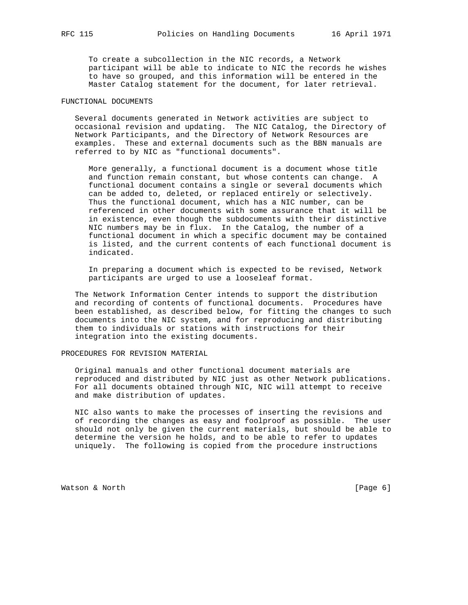To create a subcollection in the NIC records, a Network participant will be able to indicate to NIC the records he wishes to have so grouped, and this information will be entered in the Master Catalog statement for the document, for later retrieval.

### FUNCTIONAL DOCUMENTS

 Several documents generated in Network activities are subject to occasional revision and updating. The NIC Catalog, the Directory of Network Participants, and the Directory of Network Resources are examples. These and external documents such as the BBN manuals are referred to by NIC as "functional documents".

 More generally, a functional document is a document whose title and function remain constant, but whose contents can change. A functional document contains a single or several documents which can be added to, deleted, or replaced entirely or selectively. Thus the functional document, which has a NIC number, can be referenced in other documents with some assurance that it will be in existence, even though the subdocuments with their distinctive NIC numbers may be in flux. In the Catalog, the number of a functional document in which a specific document may be contained is listed, and the current contents of each functional document is indicated.

 In preparing a document which is expected to be revised, Network participants are urged to use a looseleaf format.

 The Network Information Center intends to support the distribution and recording of contents of functional documents. Procedures have been established, as described below, for fitting the changes to such documents into the NIC system, and for reproducing and distributing them to individuals or stations with instructions for their integration into the existing documents.

## PROCEDURES FOR REVISION MATERIAL

 Original manuals and other functional document materials are reproduced and distributed by NIC just as other Network publications. For all documents obtained through NIC, NIC will attempt to receive and make distribution of updates.

 NIC also wants to make the processes of inserting the revisions and of recording the changes as easy and foolproof as possible. The user should not only be given the current materials, but should be able to determine the version he holds, and to be able to refer to updates uniquely. The following is copied from the procedure instructions

Watson & North [Page 6]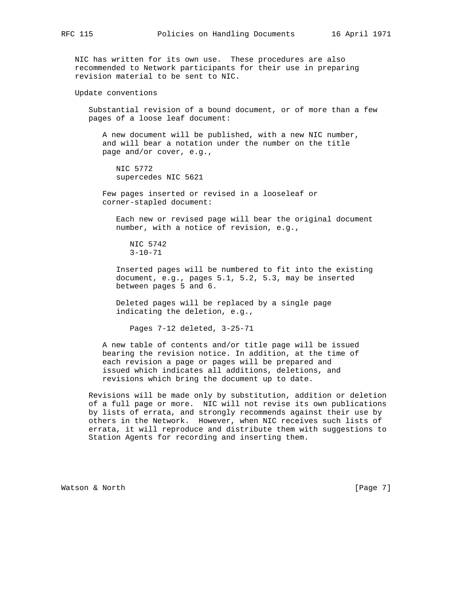NIC has written for its own use. These procedures are also recommended to Network participants for their use in preparing revision material to be sent to NIC.

Update conventions

 Substantial revision of a bound document, or of more than a few pages of a loose leaf document:

 A new document will be published, with a new NIC number, and will bear a notation under the number on the title page and/or cover, e.g.,

 NIC 5772 supercedes NIC 5621

 Few pages inserted or revised in a looseleaf or corner-stapled document:

 Each new or revised page will bear the original document number, with a notice of revision, e.g.,

```
 NIC 5742
3 - 10 - 71
```
 Inserted pages will be numbered to fit into the existing document, e.g., pages 5.1, 5.2, 5.3, may be inserted between pages 5 and 6.

 Deleted pages will be replaced by a single page indicating the deletion, e.g.,

Pages 7-12 deleted, 3-25-71

 A new table of contents and/or title page will be issued bearing the revision notice. In addition, at the time of each revision a page or pages will be prepared and issued which indicates all additions, deletions, and revisions which bring the document up to date.

 Revisions will be made only by substitution, addition or deletion of a full page or more. NIC will not revise its own publications by lists of errata, and strongly recommends against their use by others in the Network. However, when NIC receives such lists of errata, it will reproduce and distribute them with suggestions to Station Agents for recording and inserting them.

Watson & North [Page 7]